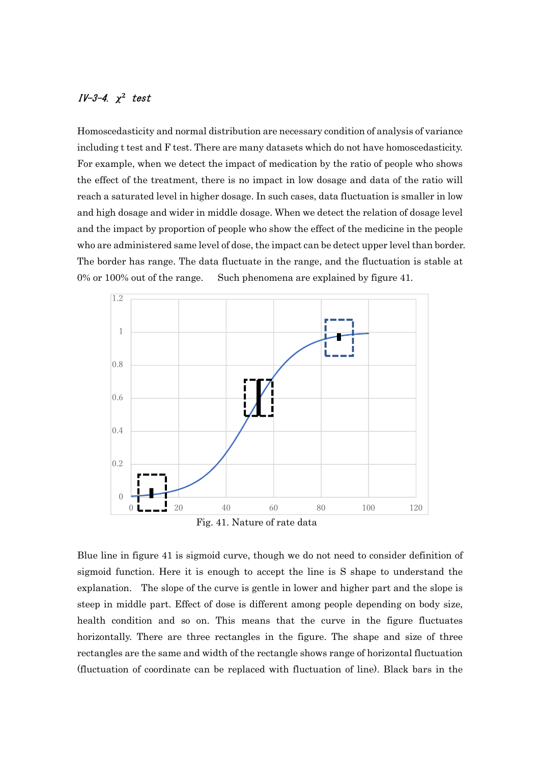## IV-3-4. χ<sup>2</sup> test

Homoscedasticity and normal distribution are necessary condition of analysis of variance including t test and F test. There are many datasets which do not have homoscedasticity. For example, when we detect the impact of medication by the ratio of people who shows the effect of the treatment, there is no impact in low dosage and data of the ratio will reach a saturated level in higher dosage. In such cases, data fluctuation is smaller in low and high dosage and wider in middle dosage. When we detect the relation of dosage level and the impact by proportion of people who show the effect of the medicine in the people who are administered same level of dose, the impact can be detect upper level than border. The border has range. The data fluctuate in the range, and the fluctuation is stable at 0% or 100% out of the range. Such phenomena are explained by figure 41.



Fig. 41. Nature of rate data

Blue line in figure 41 is sigmoid curve, though we do not need to consider definition of sigmoid function. Here it is enough to accept the line is S shape to understand the explanation. The slope of the curve is gentle in lower and higher part and the slope is steep in middle part. Effect of dose is different among people depending on body size, health condition and so on. This means that the curve in the figure fluctuates horizontally. There are three rectangles in the figure. The shape and size of three rectangles are the same and width of the rectangle shows range of horizontal fluctuation (fluctuation of coordinate can be replaced with fluctuation of line). Black bars in the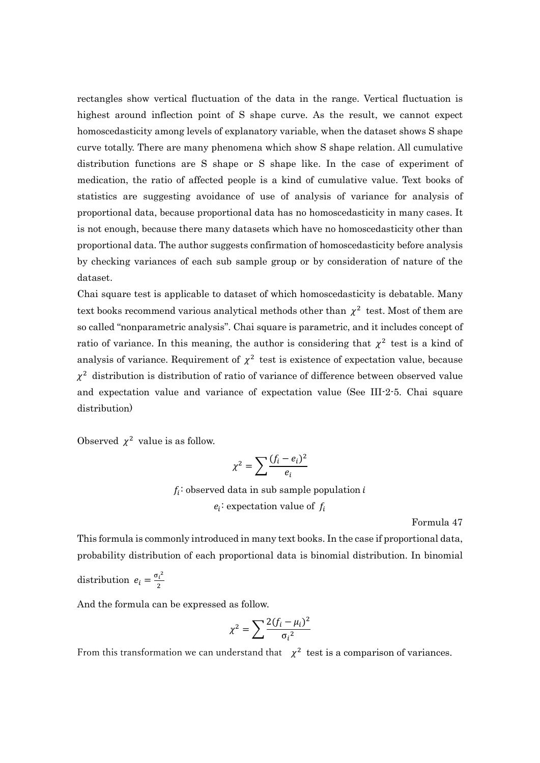rectangles show vertical fluctuation of the data in the range. Vertical fluctuation is highest around inflection point of S shape curve. As the result, we cannot expect homoscedasticity among levels of explanatory variable, when the dataset shows S shape curve totally. There are many phenomena which show S shape relation. All cumulative distribution functions are S shape or S shape like. In the case of experiment of medication, the ratio of affected people is a kind of cumulative value. Text books of statistics are suggesting avoidance of use of analysis of variance for analysis of proportional data, because proportional data has no homoscedasticity in many cases. It is not enough, because there many datasets which have no homoscedasticity other than proportional data. The author suggests confirmation of homoscedasticity before analysis by checking variances of each sub sample group or by consideration of nature of the dataset.

Chai square test is applicable to dataset of which homoscedasticity is debatable. Many text books recommend various analytical methods other than  $\chi^2$  test. Most of them are so called "nonparametric analysis". Chai square is parametric, and it includes concept of ratio of variance. In this meaning, the author is considering that  $\chi^2$  test is a kind of analysis of variance. Requirement of  $\chi^2$  test is existence of expectation value, because  $\chi^2$  distribution is distribution of ratio of variance of difference between observed value and expectation value and variance of expectation value (See III-2-5. Chai square distribution)

Observed  $\chi^2$  value is as follow.

$$
\chi^2 = \sum \frac{(f_i - e_i)^2}{e_i}
$$

 $f_i$ : observed data in sub sample population  $i$  $e_i$ : expectation value of  $f_i$ 

Formula 47

This formula is commonly introduced in many text books. In the case if proportional data, probability distribution of each proportional data is binomial distribution. In binomial

distribution  $e_i = \frac{{\sigma_i}^2}{2}$ ଶ

And the formula can be expressed as follow.

$$
\chi^2 = \sum \frac{2(f_i - \mu_i)^2}{\sigma_i^2}
$$

From this transformation we can understand that  $\chi^2$  test is a comparison of variances.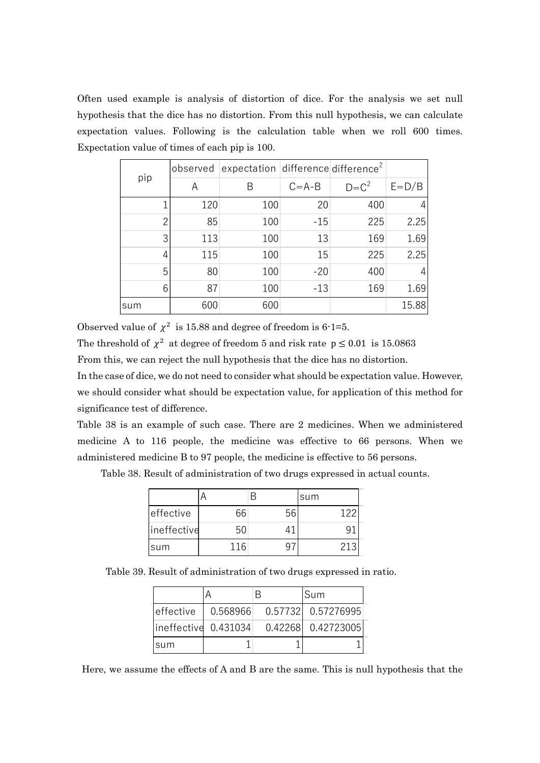Often used example is analysis of distortion of dice. For the analysis we set null hypothesis that the dice has no distortion. From this null hypothesis, we can calculate expectation values. Following is the calculation table when we roll 600 times. Expectation value of times of each pip is 100.

|          |           | ed example is analysis of distortion of dice. For the analysis we set null                                      |             |           |               |
|----------|-----------|-----------------------------------------------------------------------------------------------------------------|-------------|-----------|---------------|
|          |           | is that the dice has no distortion. From this null hypothesis, we can calculate                                 |             |           |               |
|          |           | on values. Following is the calculation table when we roll 600 times.<br>ion value of times of each pip is 100. |             |           |               |
|          | observed  | expectation difference difference <sup>2</sup>                                                                  |             |           |               |
| pip      | A         | $\mathsf B$                                                                                                     | $C = A - B$ | $D = C^2$ | $E=D/B$       |
|          | 120       | 100                                                                                                             | 20          | 400       |               |
|          | 85        | 100                                                                                                             | $-15$       | 225       | 2.25          |
| 3        | 113       | 100                                                                                                             | 13          | 169       | 1.69          |
|          | 115       | 100                                                                                                             | 15          | 225       | 2.25          |
| 5        | 80        | 100                                                                                                             | $-20$       | 400       |               |
| 6<br>sum | 87<br>600 | 100<br>600                                                                                                      | $-13$       | 169       | 1.69<br>15.88 |
|          |           |                                                                                                                 |             |           |               |
|          |           | value of $\chi^2$ is 15.88 and degree of freedom is 6.1=5.                                                      |             |           |               |
|          |           | shold of $\chi^2$ at degree of freedom 5 and risk rate $p \le 0.01$ is 15.0863                                  |             |           |               |

Observed value of  $\chi^2$  is 15.88 and degree of freedom is 6-1=5.

The threshold of  $\chi^2$  at degree of freedom 5 and risk rate  $p \le 0.01$  is 15.0863

From this, we can reject the null hypothesis that the dice has no distortion.

In the case of dice, we do not need to consider what should be expectation value. However, we should consider what should be expectation value, for application of this method for significance test of difference. 87 100 -13 169 1.69<br>
87 100 -13 169 1.69<br>
88 and degree of freedom is 6·1=5.<br>
88 and degree of freedom is 6·1=5.<br>
ee of freedom 5 and risk rate  $p \le 0.01$  is 15.0863<br>
null hypothesis that the dice has no distortion.<br>
need eed to consider what should be expectation value. However,<br>
uld be expectation value, for application of this method for<br>
.<br>
uch case. There are 2 medicines. When we administered<br>
the medicine was effective to 66 persons.

Table 38 is an example of such case. There are 2 medicines. When we administered medicine A to 116 people, the medicine was effective to 66 persons. When we administered medicine B to 97 people, the medicine is effective to 56 persons.

|                | U I            | ⊥∪∪     | ∸∽                                                                                | ⊥∪∪ |  |
|----------------|----------------|---------|-----------------------------------------------------------------------------------|-----|--|
|                | 600            | 600     |                                                                                   |     |  |
|                |                |         | of $\chi^2$ is 15.88 and degree of freedom is 6-1=5.                              |     |  |
|                |                |         | $\frac{1}{2} \chi^2$ at degree of freedom 5 and risk rate $p \le 0.01$ is 15.0863 |     |  |
|                |                |         | in reject the null hypothesis that the dice has no distortion.                    |     |  |
|                |                |         | e, we do not need to consider what should be expectation value. However,          |     |  |
|                |                |         | der what should be expectation value, for application of this method for          |     |  |
| of difference. |                |         |                                                                                   |     |  |
|                |                |         | example of such case. There are 2 medicines. When we administered                 |     |  |
|                |                |         | 116 people, the medicine was effective to 66 persons. When we                     |     |  |
|                |                |         | edicine B to 97 people, the medicine is effective to 56 persons.                  |     |  |
|                |                |         | esult of administration of two drugs expressed in actual counts.                  |     |  |
|                | A              | B       | sum                                                                               |     |  |
| effective      | 66             | 56      | 122                                                                               |     |  |
| ineffective    | 50             | 41      | 91                                                                                |     |  |
| sum            | 116            | 97      | 213                                                                               |     |  |
|                |                |         |                                                                                   |     |  |
|                |                |         | Result of administration of two drugs expressed in ratio.                         |     |  |
|                | $\overline{A}$ | B       | Sum                                                                               |     |  |
| effective      | 0.568966       | 0.57732 | 0.57276995                                                                        |     |  |

Table 39. Result of administration of two drugs expressed in ratio.

|                |          |         |                                                                 | er what should be expectation value, for application of this method for |  |
|----------------|----------|---------|-----------------------------------------------------------------|-------------------------------------------------------------------------|--|
| of difference. |          |         |                                                                 |                                                                         |  |
|                |          |         |                                                                 | xample of such case. There are 2 medicines. When we administered        |  |
|                |          |         |                                                                 | 116 people, the medicine was effective to 66 persons. When we           |  |
|                |          |         | dicine B to 97 people, the medicine is effective to 56 persons. |                                                                         |  |
|                |          |         |                                                                 | esult of administration of two drugs expressed in actual counts.        |  |
|                | A        | B       | sum                                                             |                                                                         |  |
| effective      | 66       | 56      | <b>122</b>                                                      |                                                                         |  |
| ineffective    | 50       | 41      | 91                                                              |                                                                         |  |
| sum            | 116      | 97      | 213                                                             |                                                                         |  |
|                |          |         | Result of administration of two drugs expressed in ratio.       |                                                                         |  |
|                | A        | B       | Sum                                                             |                                                                         |  |
| effective      | 0.568966 | 0.57732 | 0.57276995                                                      |                                                                         |  |
| ineffective    | 0.431034 | 0.42268 | 0.42723005                                                      |                                                                         |  |
| sum            |          | 1       |                                                                 |                                                                         |  |
|                |          |         |                                                                 | e the effects of A and B are the same. This is null hypothesis that the |  |
|                |          |         |                                                                 |                                                                         |  |

Here, we assume the effects of A and B are the same. This is null hypothesis that the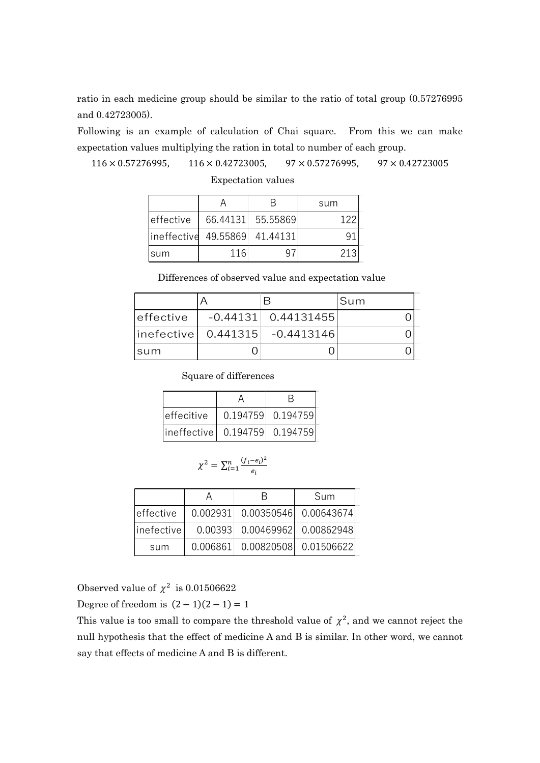ratio in each medicine group should be similar to the ratio of total group (0.57276995 and 0.42723005).

Following is an example of calculation of Chai square. From this we can make expectation values multiplying the ration in total to number of each group.

 $116 \times 0.57276995$ ,  $116 \times 0.42723005$ ,  $97 \times 0.57276995$ ,  $97 \times 0.42723005$ 

|             |                                                              |                           |                          |     | edicine group should be similar to the ratio of total group (0.57276995 |  |  |
|-------------|--------------------------------------------------------------|---------------------------|--------------------------|-----|-------------------------------------------------------------------------|--|--|
| ).          |                                                              |                           |                          |     |                                                                         |  |  |
|             |                                                              |                           |                          |     | n example of calculation of Chai square. From this we can make          |  |  |
|             | ues multiplying the ration in total to number of each group. |                           |                          |     |                                                                         |  |  |
| 6995,       | $116 \times 0.42723005$ ,                                    |                           | $97 \times 0.57276995$ , |     | $97 \times 0.42723005$                                                  |  |  |
|             |                                                              | <b>Expectation values</b> |                          |     |                                                                         |  |  |
|             | Α                                                            | B                         | sum                      |     |                                                                         |  |  |
| effective   | 66.44131                                                     | 55.55869                  |                          | 122 |                                                                         |  |  |
| ineffective | 49.55869                                                     | 41.44131                  |                          | 91  |                                                                         |  |  |
| sum         | 116                                                          | 97                        |                          | 213 |                                                                         |  |  |
|             | Differences of observed value and expectation value          |                           |                          |     |                                                                         |  |  |
|             | A                                                            | B                         |                          | Sum |                                                                         |  |  |
| ffective    | $-0.44131$                                                   |                           | 0.44131455               |     | $\overline{0}$                                                          |  |  |
|             |                                                              |                           |                          |     |                                                                         |  |  |

| 005). |             |                                                   |                           |                                                                 | medicine group should be similar to the ratio of total group (0.57276995) |
|-------|-------------|---------------------------------------------------|---------------------------|-----------------------------------------------------------------|---------------------------------------------------------------------------|
|       |             |                                                   |                           |                                                                 | an example of calculation of Chai square. From this we can make           |
|       |             |                                                   |                           | values multiplying the ration in total to number of each group. |                                                                           |
|       | 7276995,    | $116 \times 0.42723005$ ,                         |                           | $97 \times 0.57276995$ ,                                        | $97 \times 0.42723005$                                                    |
|       |             |                                                   | <b>Expectation values</b> |                                                                 |                                                                           |
|       |             | A                                                 | B                         | sum                                                             |                                                                           |
|       | effective   | 66.44131                                          | 55.55869                  | 122                                                             |                                                                           |
|       | ineffective | 49.55869                                          | 41.44131                  | 91                                                              |                                                                           |
|       | sum         | 116                                               | 97                        | 213                                                             |                                                                           |
|       |             |                                                   |                           | Differences of observed value and expectation value             |                                                                           |
|       |             | A                                                 | $\mathsf B$               | Sum                                                             |                                                                           |
|       | effective   | $-0.44131$                                        |                           | 0.44131455                                                      | $\mathbf 0$                                                               |
|       | inefective  | 0.441315                                          |                           | $-0.4413146$                                                    | 0                                                                         |
|       | sum         |                                                   | $\overline{0}$            | 0                                                               | $\boldsymbol{0}$                                                          |
|       |             | Square of differences                             |                           |                                                                 |                                                                           |
|       |             | A                                                 | B                         |                                                                 |                                                                           |
|       | effecitive  |                                                   | 0.194759<br>0.194759      |                                                                 |                                                                           |
|       | ineffective |                                                   | 0.194759<br>0.194759      |                                                                 |                                                                           |
|       |             |                                                   |                           |                                                                 |                                                                           |
|       |             | $\chi^2 = \sum_{i=1}^n \frac{(f_i - e_i)^2}{e_i}$ |                           |                                                                 |                                                                           |
|       |             | A                                                 | $\sf B$                   | Sum                                                             |                                                                           |
|       | effective   | 0.002931                                          | 0.00350546                | 0.00643674                                                      |                                                                           |
|       | inefective  | 0.00393                                           | 0.00469962                | 0.00862948                                                      |                                                                           |
|       | sum         | 0.006861                                          | 0.00820508                | 0.01506622                                                      |                                                                           |

| effecitive                      | 0.194759 0.194759 |
|---------------------------------|-------------------|
| ineffective  0.194759  0.194759 |                   |

$$
\chi^2 = \sum_{i=1}^n \frac{(f_i - e_i)^2}{e_i}
$$

| inefective  |                               | 0.441315 |                                                        | $-0.4413146$ | $\mathbf 0$                                                                          |
|-------------|-------------------------------|----------|--------------------------------------------------------|--------------|--------------------------------------------------------------------------------------|
| sum         |                               |          | $\overline{0}$                                         | $\Omega$     | $\mathbf 0$                                                                          |
|             |                               |          | Square of differences                                  |              |                                                                                      |
|             |                               |          | A                                                      | B            |                                                                                      |
|             | effecitive                    |          | 0.194759                                               | 0.194759     |                                                                                      |
|             | ineffective                   |          | 0.194759                                               | 0.194759     |                                                                                      |
|             | Α                             |          | $\chi^2 = \sum_{i=1}^n \frac{(f_i - e_i)^2}{e_i}$<br>B | Sum          |                                                                                      |
| effective   | 0.002931                      |          | 0.00350546                                             | 0.00643674   |                                                                                      |
| linefective | 0.00393                       |          | 0.00469962                                             | 0.00862948   |                                                                                      |
| sum         | 0.006861                      |          | 0.00820508                                             | 0.01506622   |                                                                                      |
|             |                               |          |                                                        |              |                                                                                      |
|             | lue of $\chi^2$ is 0.01506622 |          |                                                        |              |                                                                                      |
|             | edom is $(2-1)(2-1) = 1$      |          |                                                        |              |                                                                                      |
|             |                               |          |                                                        |              | $\epsilon$ too another common the thushold value of $\mu^2$ and we connot verted the |

Observed value of  $\chi^2$  is 0.01506622

Degree of freedom is  $(2-1)(2-1) = 1$ 

This value is too small to compare the threshold value of  $\chi^2$ , and we cannot reject the null hypothesis that the effect of medicine A and B is similar. In other word, we cannot say that effects of medicine A and B is different.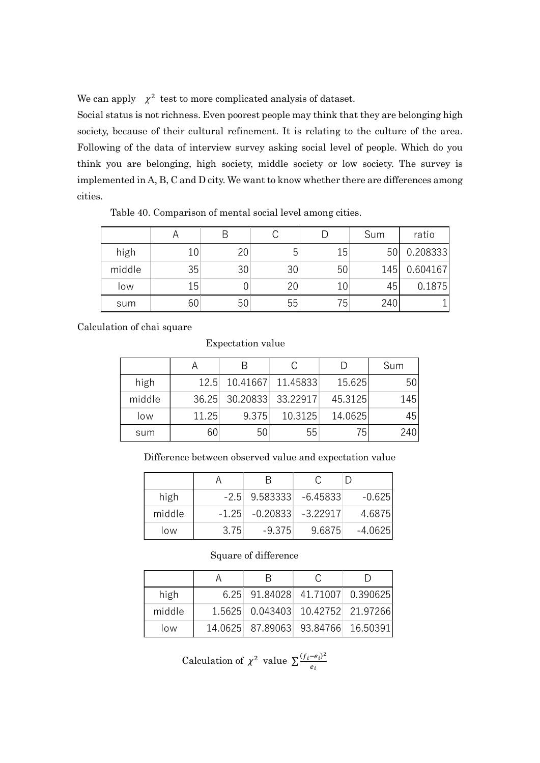We can apply  $\chi^2$  test to more complicated analysis of dataset.

Social status is not richness. Even poorest people may think that they are belonging high society, because of their cultural refinement. It is relating to the culture of the area. Following of the data of interview survey asking social level of people. Which do you think you are belonging, high society, middle society or low society. The survey is implemented in A, B, C and D city. We want to know whether there are differences among cities. to more complicated analysis of dataset.<br>
A B C D Sum process prople may think that they are belonging high<br>
eir cultural refinement. It is relating to the culture of the area.<br>
10 of interview survey asking social level o pply  $\chi^2$  test to more complicated analysis of dataset.<br>
ttus is not richness. Even poorest people may think that they are belonging high<br>
secause of their cultural refinement. It is relating to the culture of the area. apply  $\chi^2$  test to more complicated analysis of dataset.<br>
tatus is not richness. Even poorest people may think that they are belonging high<br>
because of their cultural refinement. It is relating to the culture of the are pply  $\chi^2$  test to more complicated analysis of dataset.<br>
thus is not richness. Even poorest people may think that they are belonging high<br>
ecause of their cultural refinement. It is relating to the culture of the area.<br> pply  $\chi^2$  test to more complicated analysis of dataset.<br>
tatus is not richness. Even poorest people may think that they are belonging high<br>
occause of their cultural refinement. It is relating to the culture of the area

| Table 40. Comparison of mental social level among cities. |                                                         |       | emented in A, B, C and D city. We want to know whether there are differences among |                 |              |         |     |          |
|-----------------------------------------------------------|---------------------------------------------------------|-------|------------------------------------------------------------------------------------|-----------------|--------------|---------|-----|----------|
|                                                           | A                                                       |       | $\sf B$                                                                            | $\mathsf{C}$    | $\mathsf{D}$ |         | Sum | ratio    |
| high                                                      | 10                                                      |       | 20                                                                                 | 5 <sup>1</sup>  |              | 15      | 50  | 0.208333 |
| middle                                                    | 35                                                      |       | 30                                                                                 | 30 <sup>°</sup> |              | 50      | 145 | 0.604167 |
| low                                                       | 15                                                      |       | 0                                                                                  | 20              |              | 10      | 45  | 0.1875   |
| sum                                                       | 60                                                      |       | 50                                                                                 | 55              |              | 75      | 240 |          |
|                                                           |                                                         |       | Expectation value                                                                  |                 |              |         |     |          |
|                                                           | A                                                       |       | B                                                                                  | $\mathsf{C}$    |              | D       | Sum |          |
| high                                                      |                                                         | 12.5  | 10.41667                                                                           | 11.45833        |              | 15.625  |     | 50       |
| middle                                                    |                                                         | 36.25 | 30.20833                                                                           | 33.22917        |              | 45.3125 |     | 145      |
| low                                                       |                                                         | 11.25 | 9.375                                                                              |                 | 10.3125      | 14.0625 |     | 45       |
| sum                                                       |                                                         | 60    |                                                                                    | 50              | 55           | 75      |     | 240      |
|                                                           | Difference between observed value and expectation value |       |                                                                                    |                 |              |         |     |          |
|                                                           |                                                         |       |                                                                                    |                 |              |         |     |          |
|                                                           |                                                         | A     |                                                                                    | B               | С            | D       |     |          |

Calculation of chai square

## Expectation value

| iddle  |                   | 35 |                | 30                   |          | 30           |             | 50     |                                                         | 145 |     | 0.604167 |
|--------|-------------------|----|----------------|----------------------|----------|--------------|-------------|--------|---------------------------------------------------------|-----|-----|----------|
| low    |                   | 15 |                | $\overline{0}$       |          | 20           |             | 10     |                                                         | 45  |     | 0.1875   |
| sum    |                   | 60 |                | 50                   |          | 55           |             | 75     |                                                         | 240 |     |          |
|        | on of chai square |    |                |                      |          |              |             |        |                                                         |     |     |          |
|        |                   |    |                | Expectation value    |          |              |             |        |                                                         |     |     |          |
|        |                   | A  |                | $\sf B$              |          | $\mathsf{C}$ |             | D      |                                                         | Sum |     |          |
|        |                   |    | 12.5           |                      | 10.41667 |              | 11.45833    |        | 15.625                                                  |     | 50  |          |
| middle | high              |    |                |                      | 30.20833 |              | 33.22917    |        | 45.3125                                                 |     | 145 |          |
|        | low               |    | 36.25<br>11.25 |                      | 9.375    |              | 10.3125     |        | 14.0625                                                 |     | 45  |          |
| sum    |                   |    | 60             |                      | 50       |              | 55          |        | 75                                                      |     | 240 |          |
|        |                   |    |                |                      |          |              |             |        |                                                         |     |     |          |
|        |                   |    |                |                      |          |              |             |        |                                                         |     |     |          |
|        |                   |    |                |                      |          |              |             |        | Difference between observed value and expectation value |     |     |          |
|        |                   |    | $\mathsf{A}$   |                      | $\sf B$  |              | $\mathsf C$ |        | $\mathsf{D}$                                            |     |     |          |
|        | high              |    |                | $-2.5$               |          | 9.583333     | $-6.45833$  |        | $-0.625$                                                |     |     |          |
|        | middle            |    |                | $-1.25$              |          | $-0.20833$   | $-3.22917$  |        | 4.6875                                                  |     |     |          |
|        | low               |    |                | 3.75                 |          | $-9.375$     |             | 9.6875 | $-4.0625$                                               |     |     |          |
|        |                   |    |                |                      |          |              |             |        |                                                         |     |     |          |
|        |                   |    |                | Square of difference |          |              |             |        |                                                         |     |     |          |
|        |                   |    | A              |                      | $\sf B$  |              | $\mathsf C$ |        | $\mathsf D$                                             |     |     |          |
|        | high              |    |                | 6.25                 |          | 91.84028     | 41.71007    |        | 0.390625                                                |     |     |          |
|        | middle            |    |                | 1.5625               |          | 0.043403     | 10.42752    |        | 21.97266                                                |     |     |          |

## Difference between observed value and expectation value

| high   |      | $-2.5$ 9.583333 $-6.45833$    |        | $-0.625$ |
|--------|------|-------------------------------|--------|----------|
| middle |      | $-1.25$ $-0.20833$ $-3.22917$ |        | 4.6875   |
| low    | 3.75 | $-9.375$                      | 9.6875 | -4.0625  |

## Square of difference

| ddle |        | 36.25                                                        |         | 30.20833             |          | 33.22917     |            | 45.3125 |           | 145 |
|------|--------|--------------------------------------------------------------|---------|----------------------|----------|--------------|------------|---------|-----------|-----|
| )W   |        | 11.25                                                        |         | 9.375                |          | 10.3125      | 14.0625    |         | 45        |     |
| JM   |        | 60                                                           | 50      |                      | 55       |              | 75         |         | 240       |     |
|      |        | Difference between observed value and expectation value      |         |                      |          |              |            |         |           |     |
|      |        | A                                                            |         | B                    |          | C            |            | D       |           |     |
|      | high   |                                                              | $-2.5$  | 9.583333             |          |              | $-6.45833$ |         | $-0.625$  |     |
|      | middle |                                                              | $-1.25$ | $-0.20833$           |          |              | $-3.22917$ |         | 4.6875    |     |
|      | low    |                                                              | 3.75    |                      | $-9.375$ | 9.6875       |            |         | $-4.0625$ |     |
|      |        |                                                              |         | Square of difference |          |              |            |         |           |     |
|      |        | A                                                            |         | B                    |          | $\mathsf{C}$ |            | D       |           |     |
|      | high   |                                                              | 6.25    | 91.84028             |          | 41.71007     |            |         | 0.390625  |     |
|      | middle |                                                              | 1.5625  | 0.043403             |          | 10.42752     |            |         | 21.97266  |     |
|      | low    |                                                              | 14.0625 | 87.89063             |          | 93.84766     |            |         | 16.50391  |     |
|      |        | Calculation of $\chi^2$ value $\sum \frac{(f_i-e_i)^2}{e_i}$ |         |                      |          |              |            |         |           |     |

Calculation of 
$$
\chi^2
$$
 value  $\sum \frac{(f_i - e_i)^2}{e_i}$